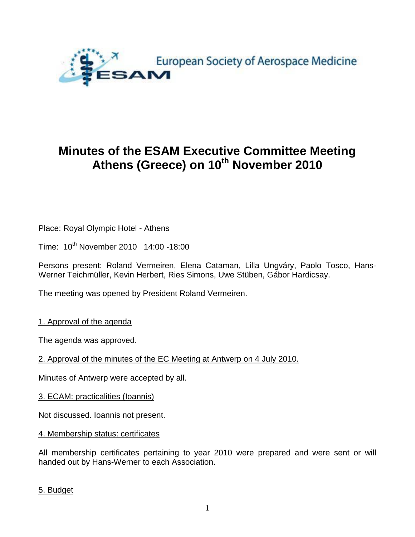

# **Minutes of the ESAM Executive Committee Meeting Athens (Greece) on 10th November 2010**

Place: Royal Olympic Hotel - Athens

Time: 10<sup>th</sup> November 2010 14:00 -18:00

Persons present: Roland Vermeiren, Elena Cataman, Lilla Ungváry, Paolo Tosco, Hans-Werner Teichmüller, Kevin Herbert, Ries Simons, Uwe Stüben, Gábor Hardicsay.

The meeting was opened by President Roland Vermeiren.

1. Approval of the agenda

The agenda was approved.

2. Approval of the minutes of the EC Meeting at Antwerp on 4 July 2010.

Minutes of Antwerp were accepted by all.

3. ECAM: practicalities (Ioannis)

Not discussed. Ioannis not present.

4. Membership status: certificates

All membership certificates pertaining to year 2010 were prepared and were sent or will handed out by Hans-Werner to each Association.

5. Budget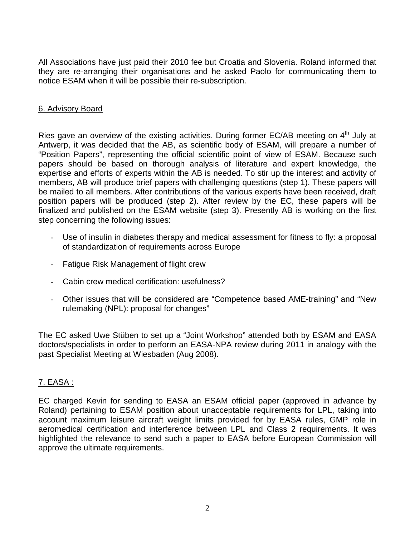All Associations have just paid their 2010 fee but Croatia and Slovenia. Roland informed that they are re-arranging their organisations and he asked Paolo for communicating them to notice ESAM when it will be possible their re-subscription.

### 6. Advisory Board

Ries gave an overview of the existing activities. During former EC/AB meeting on 4<sup>th</sup> July at Antwerp, it was decided that the AB, as scientific body of ESAM, will prepare a number of "Position Papers", representing the official scientific point of view of ESAM. Because such papers should be based on thorough analysis of literature and expert knowledge, the expertise and efforts of experts within the AB is needed. To stir up the interest and activity of members, AB will produce brief papers with challenging questions (step 1). These papers will be mailed to all members. After contributions of the various experts have been received, draft position papers will be produced (step 2). After review by the EC, these papers will be finalized and published on the ESAM website (step 3). Presently AB is working on the first step concerning the following issues:

- Use of insulin in diabetes therapy and medical assessment for fitness to fly: a proposal of standardization of requirements across Europe
- Fatigue Risk Management of flight crew
- Cabin crew medical certification: usefulness?
- Other issues that will be considered are "Competence based AME-training" and "New rulemaking (NPL): proposal for changes"

The EC asked Uwe Stüben to set up a "Joint Workshop" attended both by ESAM and EASA doctors/specialists in order to perform an EASA-NPA review during 2011 in analogy with the past Specialist Meeting at Wiesbaden (Aug 2008).

# 7. EASA :

EC charged Kevin for sending to EASA an ESAM official paper (approved in advance by Roland) pertaining to ESAM position about unacceptable requirements for LPL, taking into account maximum leisure aircraft weight limits provided for by EASA rules, GMP role in aeromedical certification and interference between LPL and Class 2 requirements. It was highlighted the relevance to send such a paper to EASA before European Commission will approve the ultimate requirements.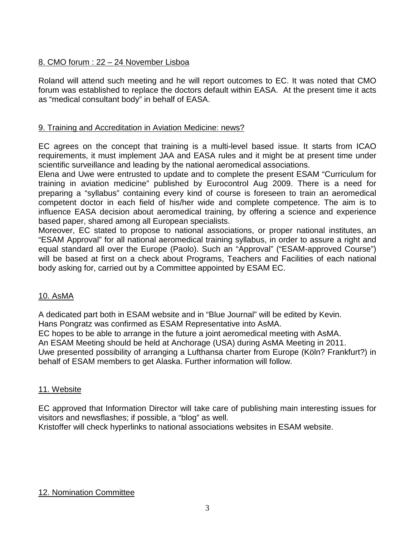# 8. CMO forum : 22 – 24 November Lisboa

Roland will attend such meeting and he will report outcomes to EC. It was noted that CMO forum was established to replace the doctors default within EASA. At the present time it acts as "medical consultant body" in behalf of EASA.

# 9. Training and Accreditation in Aviation Medicine: news?

EC agrees on the concept that training is a multi-level based issue. It starts from ICAO requirements, it must implement JAA and EASA rules and it might be at present time under scientific surveillance and leading by the national aeromedical associations.

Elena and Uwe were entrusted to update and to complete the present ESAM "Curriculum for training in aviation medicine" published by Eurocontrol Aug 2009. There is a need for preparing a "syllabus" containing every kind of course is foreseen to train an aeromedical competent doctor in each field of his/her wide and complete competence. The aim is to influence EASA decision about aeromedical training, by offering a science and experience based paper, shared among all European specialists.

Moreover, EC stated to propose to national associations, or proper national institutes, an "ESAM Approval" for all national aeromedical training syllabus, in order to assure a right and equal standard all over the Europe (Paolo). Such an "Approval" ("ESAM-approved Course") will be based at first on a check about Programs, Teachers and Facilities of each national body asking for, carried out by a Committee appointed by ESAM EC.

# 10. AsMA

A dedicated part both in ESAM website and in "Blue Journal" will be edited by Kevin. Hans Pongratz was confirmed as ESAM Representative into AsMA.

EC hopes to be able to arrange in the future a joint aeromedical meeting with AsMA.

An ESAM Meeting should be held at Anchorage (USA) during AsMA Meeting in 2011.

Uwe presented possibility of arranging a Lufthansa charter from Europe (Köln? Frankfurt?) in behalf of ESAM members to get Alaska. Further information will follow.

#### 11. Website

EC approved that Information Director will take care of publishing main interesting issues for visitors and newsflashes; if possible, a "blog" as well.

# Kristoffer will check hyperlinks to national associations websites in ESAM website.

# 12. Nomination Committee